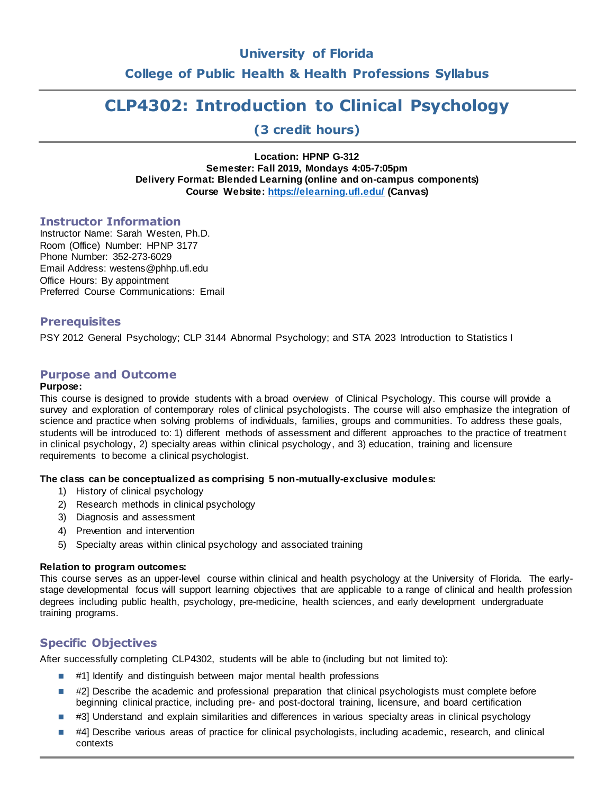# **University of Florida**

**College of Public Health & Health Professions Syllabus**

# **CLP4302: Introduction to Clinical Psychology**

**(3 credit hours)**

**Location: HPNP G-312 Semester: Fall 2019, Mondays 4:05-7:05pm Delivery Format: Blended Learning (online and on-campus components) Course Website[: https://elearning.ufl.edu/](https://elearning.ufl.edu/) (Canvas)**

### **Instructor Information**

Instructor Name: Sarah Westen, Ph.D. Room (Office) Number: HPNP 3177 Phone Number: 352-273-6029 Email Address: westens@phhp.ufl.edu Office Hours: By appointment Preferred Course Communications: Email

# **Prerequisites**

PSY 2012 General Psychology; CLP 3144 Abnormal Psychology; and STA 2023 Introduction to Statistics I

# **Purpose and Outcome**

### **Purpose:**

This course is designed to provide students with a broad overview of Clinical Psychology. This course will provide a survey and exploration of contemporary roles of clinical psychologists. The course will also emphasize the integration of science and practice when solving problems of individuals, families, groups and communities. To address these goals, students will be introduced to: 1) different methods of assessment and different approaches to the practice of treatment in clinical psychology, 2) specialty areas within clinical psychology, and 3) education, training and licensure requirements to become a clinical psychologist.

### **The class can be conceptualized as comprising 5 non-mutually-exclusive modules:**

- 1) History of clinical psychology
- 2) Research methods in clinical psychology
- 3) Diagnosis and assessment
- 4) Prevention and intervention
- 5) Specialty areas within clinical psychology and associated training

#### **Relation to program outcomes:**

This course serves as an upper-level course within clinical and health psychology at the University of Florida. The earlystage developmental focus will support learning objectives that are applicable to a range of clinical and health profession degrees including public health, psychology, pre-medicine, health sciences, and early development undergraduate training programs.

# **Specific Objectives**

After successfully completing CLP4302, students will be able to (including but not limited to):

- $\blacksquare$  #1] Identify and distinguish between major mental health professions
- $\blacksquare$  #2] Describe the academic and professional preparation that clinical psychologists must complete before beginning clinical practice, including pre- and post-doctoral training, licensure, and board certification
- $\blacksquare$  #3] Understand and explain similarities and differences in various specialty areas in clinical psychology
- #4] Describe various areas of practice for clinical psychologists, including academic, research, and clinical contexts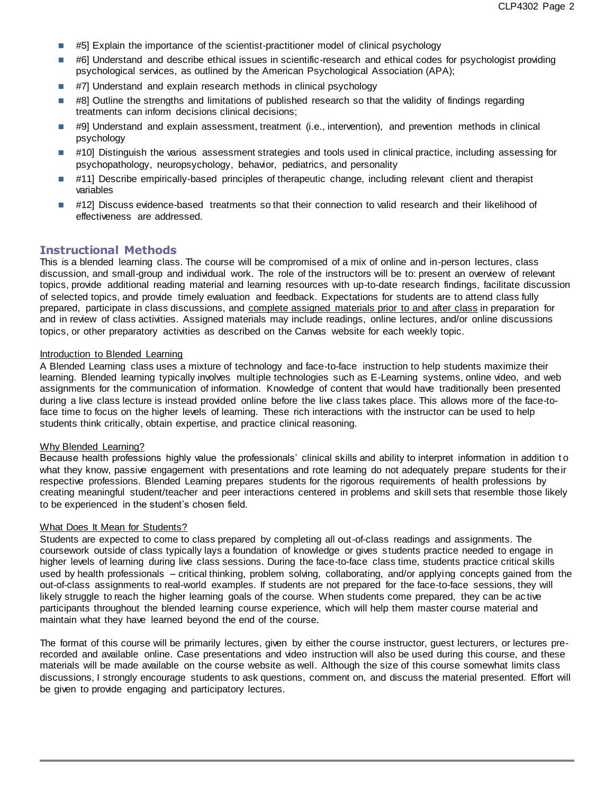- $\blacksquare$  #5] Explain the importance of the scientist-practitioner model of clinical psychology
- #6] Understand and describe ethical issues in scientific-research and ethical codes for psychologist providing psychological services, as outlined by the American Psychological Association (APA);
- #7] Understand and explain research methods in clinical psychology
- $\blacksquare$  #8] Outline the strengths and limitations of published research so that the validity of findings regarding treatments can inform decisions clinical decisions;
- #9] Understand and explain assessment, treatment (i.e., intervention), and prevention methods in clinical psychology
- #10] Distinguish the various assessment strategies and tools used in clinical practice, including assessing for psychopathology, neuropsychology, behavior, pediatrics, and personality
- #11] Describe empirically-based principles of therapeutic change, including relevant client and therapist variables
- #12] Discuss evidence-based treatments so that their connection to valid research and their likelihood of effectiveness are addressed.

### **Instructional Methods**

This is a blended learning class. The course will be compromised of a mix of online and in-person lectures, class discussion, and small-group and individual work. The role of the instructors will be to: present an overview of relevant topics, provide additional reading material and learning resources with up-to-date research findings, facilitate discussion of selected topics, and provide timely evaluation and feedback. Expectations for students are to attend class fully prepared, participate in class discussions, and complete assigned materials prior to and after class in preparation for and in review of class activities. Assigned materials may include readings, online lectures, and/or online discussions topics, or other preparatory activities as described on the Canvas website for each weekly topic.

#### Introduction to Blended Learning

A Blended Learning class uses a mixture of technology and face-to-face instruction to help students maximize their learning. Blended learning typically involves multiple technologies such as E-Learning systems, online video, and web assignments for the communication of information. Knowledge of content that would have traditionally been presented during a live class lecture is instead provided online before the live class takes place. This allows more of the face-toface time to focus on the higher levels of learning. These rich interactions with the instructor can be used to help students think critically, obtain expertise, and practice clinical reasoning.

#### Why Blended Learning?

Because health professions highly value the professionals' clinical skills and ability to interpret information in addition to what they know, passive engagement with presentations and rote learning do not adequately prepare students for their respective professions. Blended Learning prepares students for the rigorous requirements of health professions by creating meaningful student/teacher and peer interactions centered in problems and skill sets that resemble those likely to be experienced in the student's chosen field.

#### What Does It Mean for Students?

Students are expected to come to class prepared by completing all out-of-class readings and assignments. The coursework outside of class typically lays a foundation of knowledge or gives s tudents practice needed to engage in higher levels of learning during live class sessions. During the face-to-face class time, students practice critical skills used by health professionals – critical thinking, problem solving, collaborating, and/or applying concepts gained from the out-of-class assignments to real-world examples. If students are not prepared for the face-to-face sessions, they will likely struggle to reach the higher learning goals of the course. When students come prepared, they can be ac tive participants throughout the blended learning course experience, which will help them master course material and maintain what they have learned beyond the end of the course.

The format of this course will be primarily lectures, given by either the course instructor, guest lecturers, or lectures prerecorded and available online. Case presentations and video instruction will also be used during this course, and these materials will be made available on the course website as well. Although the size of this course somewhat limits class discussions, I strongly encourage students to ask questions, comment on, and discuss the material presented. Effort will be given to provide engaging and participatory lectures.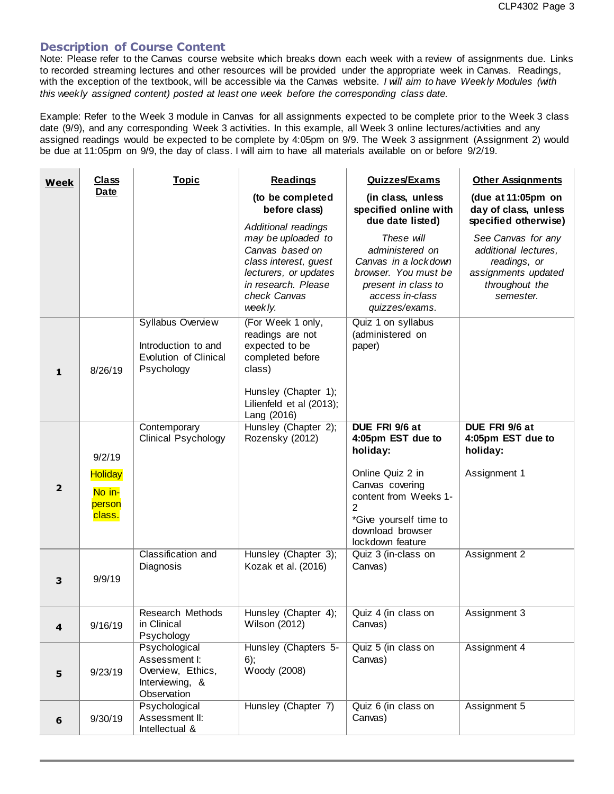# **Description of Course Content**

 $\mathcal{L}$ 

Note: Please refer to the Canvas course website which breaks down each week with a review of assignments due. Links to recorded streaming lectures and other resources will be provided under the appropriate week in Canvas. Readings, with the exception of the textbook, will be accessible via the Canvas website. *I will aim to have Weekly Modules (with this weekly assigned content) posted at least one week before the corresponding class date.*

Example: Refer to the Week 3 module in Canvas for all assignments expected to be complete prior to the Week 3 class date (9/9), and any corresponding Week 3 activities. In this example, all Week 3 online lectures/activities and any assigned readings would be expected to be complete by 4:05pm on 9/9. The Week 3 assignment (Assignment 2) would be due at 11:05pm on 9/9, the day of class. I will aim to have all materials available on or before 9/2/19.

 $\bar{1}$ 

| <b>Week</b>             | <b>Class</b>                                           | <b>Topic</b>                                                                          | <b>Readings</b>                                                                                                                           | <b>Quizzes/Exams</b>                                                                                                                                                                   | <b>Other Assignments</b>                                                                                         |  |  |
|-------------------------|--------------------------------------------------------|---------------------------------------------------------------------------------------|-------------------------------------------------------------------------------------------------------------------------------------------|----------------------------------------------------------------------------------------------------------------------------------------------------------------------------------------|------------------------------------------------------------------------------------------------------------------|--|--|
|                         | <b>Date</b>                                            |                                                                                       | (to be completed<br>before class)<br>Additional readings                                                                                  | (in class, unless<br>specified online with<br>due date listed)                                                                                                                         | (due at 11:05pm on<br>day of class, unless<br>specified otherwise)                                               |  |  |
|                         |                                                        |                                                                                       | may be uploaded to<br>Canvas based on<br>class interest, guest<br>lecturers, or updates<br>in research. Please<br>check Canvas<br>weekly. | These will<br>administered on<br>Canvas in a lockdown<br>browser. You must be<br>present in class to<br>access in-class<br>quizzes/exams.                                              | See Canvas for any<br>additional lectures,<br>readings, or<br>assignments updated<br>throughout the<br>semester. |  |  |
| $\mathbf{1}$            | 8/26/19                                                | Syllabus Overview<br>Introduction to and<br>Evolution of Clinical<br>Psychology       | (For Week 1 only,<br>readings are not<br>expected to be<br>completed before<br>class)<br>Hunsley (Chapter 1);<br>Lilienfeld et al (2013); | Quiz 1 on syllabus<br>(administered on<br>paper)                                                                                                                                       |                                                                                                                  |  |  |
| $\overline{\mathbf{2}}$ | 9/2/19<br><b>Holiday</b><br>No in-<br>person<br>class. | Contemporary<br><b>Clinical Psychology</b>                                            | Lang (2016)<br>Hunsley (Chapter 2);<br>Rozensky (2012)                                                                                    | DUE FRI 9/6 at<br>4:05pm EST due to<br>holiday:<br>Online Quiz 2 in<br>Canvas covering<br>content from Weeks 1-<br>2<br>*Give yourself time to<br>download browser<br>lockdown feature | DUE FRI 9/6 at<br>4:05pm EST due to<br>holiday:<br>Assignment 1                                                  |  |  |
| 3                       | 9/9/19                                                 | Classification and<br>Diagnosis                                                       | Hunsley (Chapter 3);<br>Kozak et al. (2016)                                                                                               | Quiz 3 (in-class on<br>Canvas)                                                                                                                                                         | Assignment 2                                                                                                     |  |  |
| 4                       | 9/16/19                                                | <b>Research Methods</b><br>in Clinical<br>Psychology                                  | Hunsley (Chapter 4);<br><b>Wilson (2012)</b>                                                                                              | Quiz 4 (in class on<br>Canvas)                                                                                                                                                         | Assignment 3                                                                                                     |  |  |
| 5                       | 9/23/19                                                | Psychological<br>Assessment I:<br>Overview, Ethics,<br>Interviewing, &<br>Observation | Hunsley (Chapters 5-<br>6);<br>Woody (2008)                                                                                               | Quiz 5 (in class on<br>Canvas)                                                                                                                                                         | Assignment 4                                                                                                     |  |  |
| 6                       | 9/30/19                                                | Psychological<br>Assessment II:<br>Intellectual &                                     | Hunsley (Chapter 7)                                                                                                                       | Quiz 6 (in class on<br>Canvas)                                                                                                                                                         | Assignment 5                                                                                                     |  |  |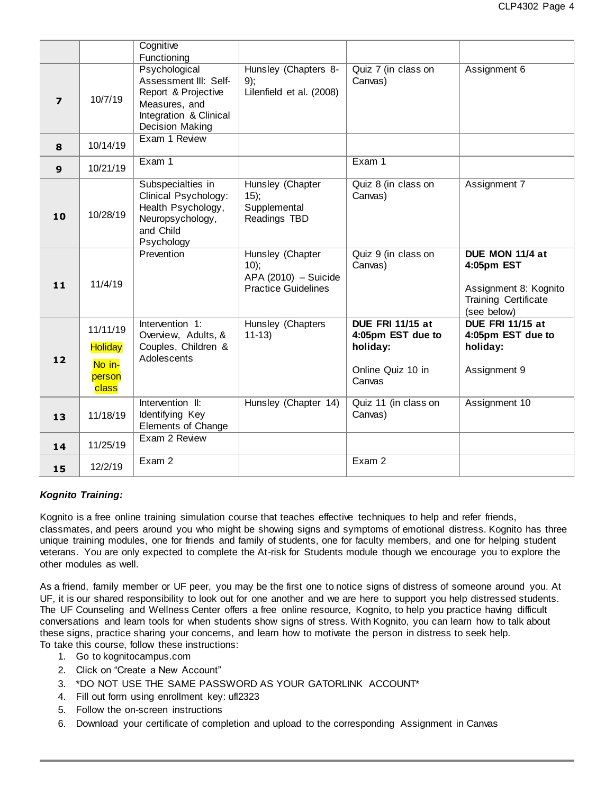|                         |                                                         | Cognitive<br>Functioning                                                                                                    |                                                                                  |                                                                                         |                                                                                               |
|-------------------------|---------------------------------------------------------|-----------------------------------------------------------------------------------------------------------------------------|----------------------------------------------------------------------------------|-----------------------------------------------------------------------------------------|-----------------------------------------------------------------------------------------------|
| $\overline{\mathbf{z}}$ | 10/7/19                                                 | Psychological<br>Assessment III: Self-<br>Report & Projective<br>Measures, and<br>Integration & Clinical<br>Decision Making | Hunsley (Chapters 8-<br>9);<br>Lilenfield et al. (2008)                          | Quiz 7 (in class on<br>Canvas)                                                          | Assignment 6                                                                                  |
| 8                       | 10/14/19                                                | Exam 1 Review                                                                                                               |                                                                                  |                                                                                         |                                                                                               |
| 9                       | 10/21/19                                                | Exam 1                                                                                                                      |                                                                                  | Exam 1                                                                                  |                                                                                               |
| 10                      | 10/28/19                                                | Subspecialties in<br>Clinical Psychology:<br>Health Psychology,<br>Neuropsychology,<br>and Child<br>Psychology              | Hunsley (Chapter<br>15);<br>Supplemental<br>Readings TBD                         | Quiz 8 (in class on<br>Canvas)                                                          | Assignment 7                                                                                  |
| 11                      | 11/4/19                                                 | Prevention                                                                                                                  | Hunsley (Chapter<br>10);<br>$APA (2010) - Suicide$<br><b>Practice Guidelines</b> | Quiz 9 (in class on<br>Canvas)                                                          | DUE MON 11/4 at<br>4:05pm EST<br>Assignment 8: Kognito<br>Training Certificate<br>(see below) |
| 12                      | 11/11/19<br><b>Holiday</b><br>No in-<br>person<br>class | Intervention 1:<br>Overview, Adults, &<br>Couples, Children &<br>Adolescents                                                | Hunsley (Chapters<br>$11-13$                                                     | <b>DUE FRI 11/15 at</b><br>4:05pm EST due to<br>holiday:<br>Online Quiz 10 in<br>Canvas | <b>DUE FRI 11/15 at</b><br>4:05pm EST due to<br>holiday:<br>Assignment 9                      |
| 13                      | 11/18/19                                                | Intervention II:<br>Identifying Key<br>Elements of Change                                                                   | Hunsley (Chapter 14)                                                             | Quiz 11 (in class on<br>Canvas)                                                         | Assignment 10                                                                                 |
| 14                      | 11/25/19                                                | Exam 2 Review                                                                                                               |                                                                                  |                                                                                         |                                                                                               |
| 15                      | 12/2/19                                                 | Exam 2                                                                                                                      |                                                                                  | Exam 2                                                                                  |                                                                                               |

### *Kognito Training:*

Kognito is a free online training simulation course that teaches effective techniques to help and refer friends, classmates, and peers around you who might be showing signs and symptoms of emotional distress. Kognito has three unique training modules, one for friends and family of students, one for faculty members, and one for helping student veterans. You are only expected to complete the At-risk for Students module though we encourage you to explore the other modules as well.

As a friend, family member or UF peer, you may be the first one to notice signs of distress of someone around you. At UF, it is our shared responsibility to look out for one another and we are here to support you help distressed students. The UF Counseling and Wellness Center offers a free online resource, Kognito, to help you practice having difficult conversations and learn tools for when students show signs of stress. With Kognito, you can learn how to talk about these signs, practice sharing your concerns, and learn how to motivate the person in distress to seek help. To take this course, follow these instructions:

- 1. Go to kognitocampus.com
- 2. Click on "Create a New Account"
- 3. \*DO NOT USE THE SAME PASSWORD AS YOUR GATORLINK ACCOUNT\*
- 4. Fill out form using enrollment key: ufl2323
- 5. Follow the on-screen instructions
- 6. Download your certificate of completion and upload to the corresponding Assignment in Canvas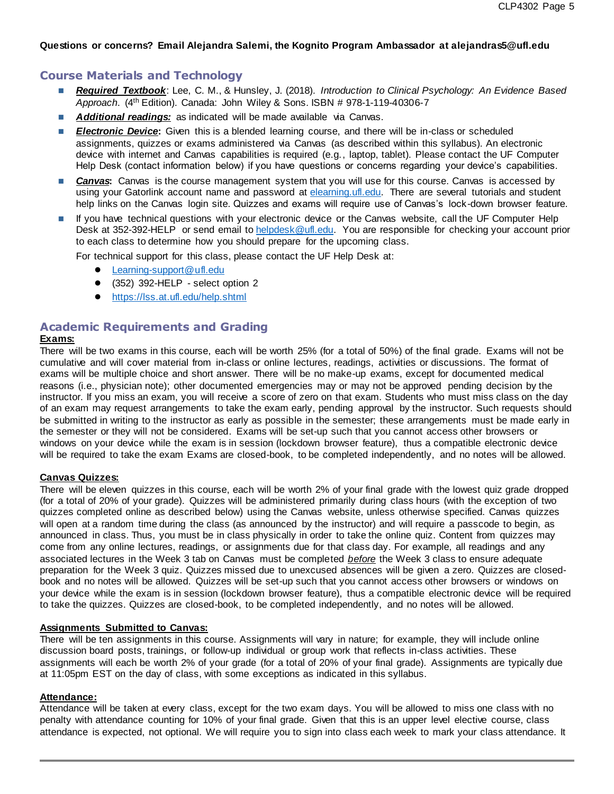### **Questions or concerns? Email Alejandra Salemi, the Kognito Program Ambassador at alejandras5@ufl.edu**

### **Course Materials and Technology**

- *Required Textbook*: Lee, C. M., & Hunsley, J. (2018). *Introduction to Clinical Psychology: An Evidence Based Approach*. (4th Edition). Canada: John Wiley & Sons. ISBN # 978-1-119-40306-7
- **Additional readings:** as indicated will be made available via Canvas.
- **Electronic Device:** Given this is a blended learning course, and there will be in-class or scheduled assignments, quizzes or exams administered via Canvas (as described within this syllabus). An electronic device with internet and Canvas capabilities is required (e.g., laptop, tablet). Please contact the UF Computer Help Desk (contact information below) if you have questions or concerns regarding your device's capabilities.
- **Canvas:** Canvas is the course management system that you will use for this course. Canvas is accessed by using your Gatorlink account name and password at [elearning.ufl.edu.](http://lss.at.ufl.edu/) There are several tutorials and student help links on the Canvas login site. Quizzes and exams will require use of Canvas's lock-down browser feature.
- If you have technical questions with your electronic device or the Canvas website, call the UF Computer Help Desk at 352-392-HELP or send email to [helpdesk@ufl.edu.](mailto:helpdesk@ufl.edu) You are responsible for checking your account prior to each class to determine how you should prepare for the upcoming class.

For technical support for this class, please contact the UF Help Desk at:

- [Learning-support@ufl.edu](file:///C:/Users/hackg/Desktop/Learning-support@ufl.edu)
- (352) 392-HELP select option 2
- <https://lss.at.ufl.edu/help.shtml>

# **Academic Requirements and Grading**

### **Exams:**

There will be two exams in this course, each will be worth 25% (for a total of 50%) of the final grade. Exams will not be cumulative and will cover material from in-class or online lectures, readings, activities or discussions. The format of exams will be multiple choice and short answer. There will be no make-up exams, except for documented medical reasons (i.e., physician note); other documented emergencies may or may not be approved pending decision by the instructor. If you miss an exam, you will receive a score of zero on that exam. Students who must miss class on the day of an exam may request arrangements to take the exam early, pending approval by the instructor. Such requests should be submitted in writing to the instructor as early as possible in the semester; these arrangements must be made early in the semester or they will not be considered. Exams will be set-up such that you cannot access other browsers or windows on your device while the exam is in session (lockdown browser feature), thus a compatible electronic device will be required to take the exam Exams are closed-book, to be completed independently, and no notes will be allowed.

#### **Canvas Quizzes:**

There will be eleven quizzes in this course, each will be worth 2% of your final grade with the lowest quiz grade dropped (for a total of 20% of your grade). Quizzes will be administered primarily during class hours (with the exception of two quizzes completed online as described below) using the Canvas website, unless otherwise specified. Canvas quizzes will open at a random time during the class (as announced by the instructor) and will require a passcode to begin, as announced in class. Thus, you must be in class physically in order to take the online quiz. Content from quizzes may come from any online lectures, readings, or assignments due for that class day. For example, all readings and any associated lectures in the Week 3 tab on Canvas must be completed *before* the Week 3 class to ensure adequate preparation for the Week 3 quiz. Quizzes missed due to unexcused absences will be given a zero. Quizzes are closedbook and no notes will be allowed. Quizzes will be set-up such that you cannot access other browsers or windows on your device while the exam is in session (lockdown browser feature), thus a compatible electronic device will be required to take the quizzes. Quizzes are closed-book, to be completed independently, and no notes will be allowed.

### **Assignments Submitted to Canvas:**

There will be ten assignments in this course. Assignments will vary in nature; for example, they will include online discussion board posts, trainings, or follow-up individual or group work that reflects in-class activities. These assignments will each be worth 2% of your grade (for a total of 20% of your final grade). Assignments are typically due at 11:05pm EST on the day of class, with some exceptions as indicated in this syllabus.

#### **Attendance:**

Attendance will be taken at every class, except for the two exam days. You will be allowed to miss one class with no penalty with attendance counting for 10% of your final grade. Given that this is an upper level elective course, class attendance is expected, not optional. We will require you to sign into class each week to mark your class attendance. It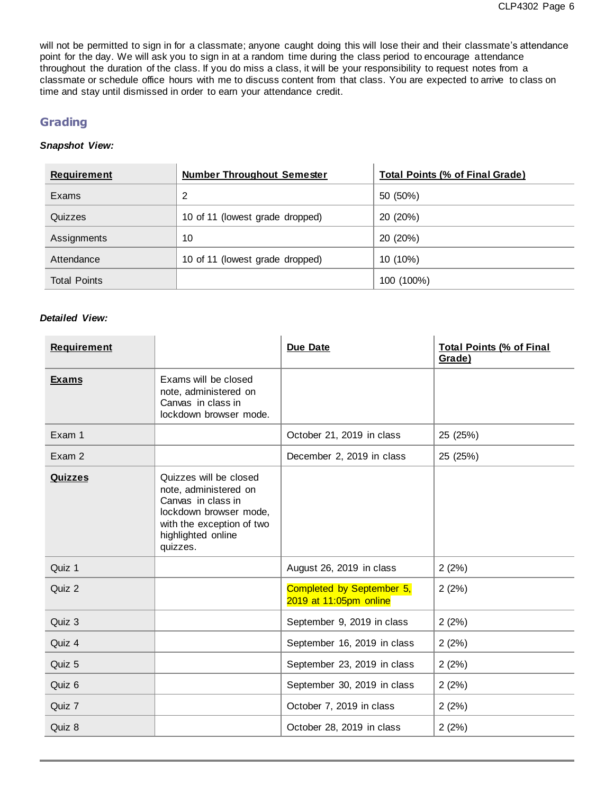will not be permitted to sign in for a classmate; anyone caught doing this will lose their and their classmate's attendance point for the day. We will ask you to sign in at a random time during the class period to encourage attendance throughout the duration of the class. If you do miss a class, it will be your responsibility to request notes from a classmate or schedule office hours with me to discuss content from that class. You are expected to arrive to class on time and stay until dismissed in order to earn your attendance credit.

# **Grading**

# *Snapshot View:*

| <b>Requirement</b>  | <b>Number Throughout Semester</b> | <b>Total Points (% of Final Grade)</b> |
|---------------------|-----------------------------------|----------------------------------------|
| Exams               | 2                                 | 50 (50%)                               |
| Quizzes             | 10 of 11 (lowest grade dropped)   | 20 (20%)                               |
| Assignments         | 10                                | 20 (20%)                               |
| Attendance          | 10 of 11 (lowest grade dropped)   | 10 (10%)                               |
| <b>Total Points</b> |                                   | 100 (100%)                             |

### *Detailed View:*

| <b>Requirement</b> |                                                                                                                                                                | <b>Due Date</b>                                     | <b>Total Points (% of Final</b><br>Grade) |
|--------------------|----------------------------------------------------------------------------------------------------------------------------------------------------------------|-----------------------------------------------------|-------------------------------------------|
| <b>Exams</b>       | Exams will be closed<br>note, administered on<br>Canvas in class in<br>lockdown browser mode.                                                                  |                                                     |                                           |
| Exam 1             |                                                                                                                                                                | October 21, 2019 in class                           | 25 (25%)                                  |
| Exam 2             |                                                                                                                                                                | December 2, 2019 in class                           | 25 (25%)                                  |
| <b>Quizzes</b>     | Quizzes will be closed<br>note, administered on<br>Canvas in class in<br>lockdown browser mode,<br>with the exception of two<br>highlighted online<br>quizzes. |                                                     |                                           |
| Quiz 1             |                                                                                                                                                                | August 26, 2019 in class                            | 2(2%)                                     |
| Quiz 2             |                                                                                                                                                                | Completed by September 5,<br>2019 at 11:05pm online | 2(2%)                                     |
| Quiz 3             |                                                                                                                                                                | September 9, 2019 in class                          | 2(2%)                                     |
| Quiz 4             |                                                                                                                                                                | September 16, 2019 in class                         | 2(2%)                                     |
| Quiz 5             |                                                                                                                                                                | September 23, 2019 in class                         | 2(2%)                                     |
| Quiz 6             |                                                                                                                                                                | September 30, 2019 in class                         | 2(2%)                                     |
| Quiz 7             |                                                                                                                                                                | October 7, 2019 in class                            | 2(2%)                                     |
| Quiz 8             |                                                                                                                                                                | October 28, 2019 in class                           | 2(2%)                                     |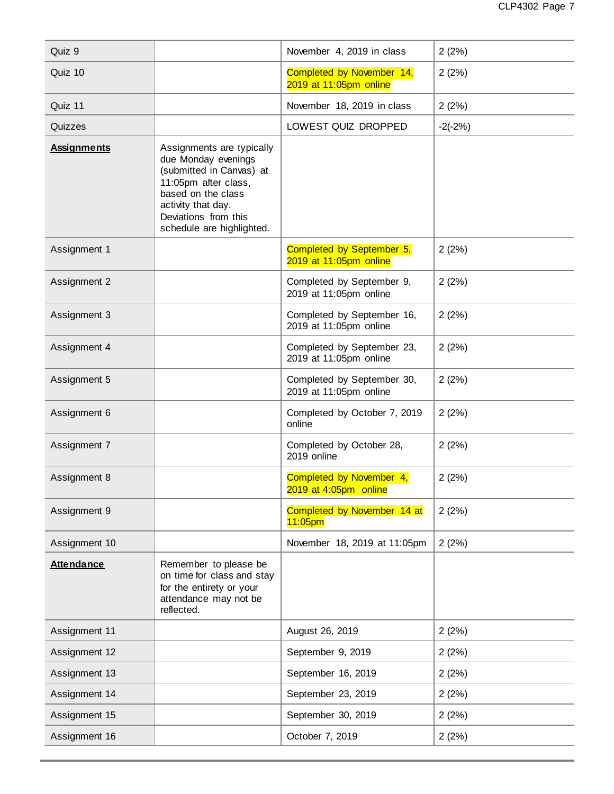| Quiz 9             |                                                                                                                                                                                                       | November 4, 2019 in class                            | 2(2%)     |
|--------------------|-------------------------------------------------------------------------------------------------------------------------------------------------------------------------------------------------------|------------------------------------------------------|-----------|
| Quiz 10            |                                                                                                                                                                                                       | Completed by November 14,<br>2019 at 11:05pm online  | 2(2%)     |
| Quiz 11            |                                                                                                                                                                                                       | November 18, 2019 in class                           | 2(2%)     |
| Quizzes            |                                                                                                                                                                                                       | LOWEST QUIZ DROPPED                                  | $-2(-2%)$ |
| <b>Assignments</b> | Assignments are typically<br>due Monday evenings<br>(submitted in Canvas) at<br>11:05pm after class,<br>based on the class<br>activity that day.<br>Deviations from this<br>schedule are highlighted. |                                                      |           |
| Assignment 1       |                                                                                                                                                                                                       | Completed by September 5,<br>2019 at 11:05pm online  | 2(2%)     |
| Assignment 2       |                                                                                                                                                                                                       | Completed by September 9,<br>2019 at 11:05pm online  | 2(2%)     |
| Assignment 3       |                                                                                                                                                                                                       | Completed by September 16,<br>2019 at 11:05pm online | 2(2%)     |
| Assignment 4       |                                                                                                                                                                                                       | Completed by September 23,<br>2019 at 11:05pm online | 2(2%)     |
| Assignment 5       |                                                                                                                                                                                                       | Completed by September 30,<br>2019 at 11:05pm online | 2(2%)     |
| Assignment 6       |                                                                                                                                                                                                       | Completed by October 7, 2019<br>online               | 2(2%)     |
| Assignment 7       |                                                                                                                                                                                                       | Completed by October 28,<br>2019 online              | 2(2%)     |
| Assignment 8       |                                                                                                                                                                                                       | Completed by November 4,<br>2019 at 4:05pm online    | 2(2%)     |
| Assignment 9       |                                                                                                                                                                                                       | Completed by November 14 at<br>$11:05$ pm            | 2(2%)     |
| Assignment 10      |                                                                                                                                                                                                       | November 18, 2019 at 11:05pm                         | 2(2%)     |
| <b>Attendance</b>  | Remember to please be<br>on time for class and stay<br>for the entirety or your<br>attendance may not be<br>reflected.                                                                                |                                                      |           |
| Assignment 11      |                                                                                                                                                                                                       | August 26, 2019                                      | 2(2%)     |
| Assignment 12      |                                                                                                                                                                                                       | September 9, 2019                                    | 2(2%)     |
| Assignment 13      |                                                                                                                                                                                                       | September 16, 2019                                   | 2(2%)     |
| Assignment 14      |                                                                                                                                                                                                       | September 23, 2019                                   | 2(2%)     |
| Assignment 15      |                                                                                                                                                                                                       | September 30, 2019                                   | 2(2%)     |
| Assignment 16      |                                                                                                                                                                                                       | October 7, 2019                                      | 2(2%)     |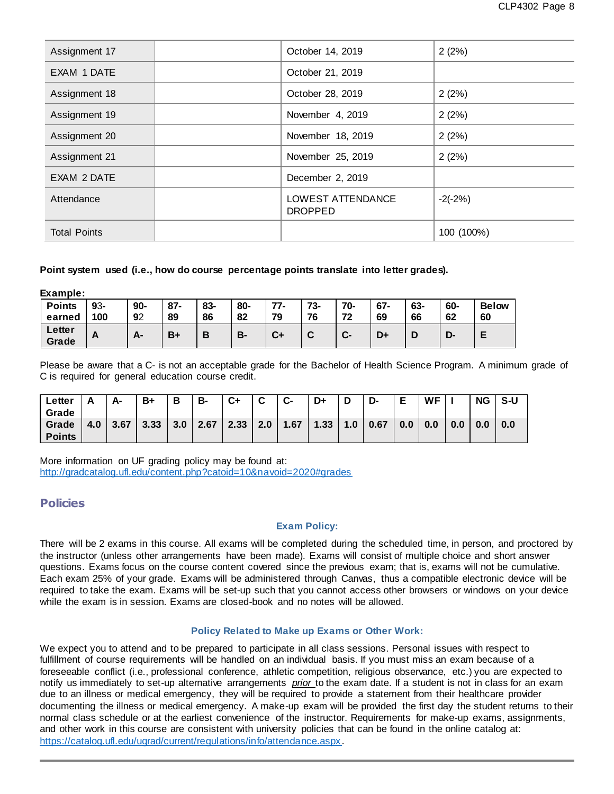| Assignment 17       | October 14, 2019                    | 2(2%)      |
|---------------------|-------------------------------------|------------|
| EXAM 1 DATE         | October 21, 2019                    |            |
| Assignment 18       | October 28, 2019                    | 2(2%)      |
| Assignment 19       | November 4, 2019                    | 2(2%)      |
| Assignment 20       | November 18, 2019                   | 2(2%)      |
| Assignment 21       | November 25, 2019                   | 2(2%)      |
| EXAM 2 DATE         | December 2, 2019                    |            |
| Attendance          | LOWEST ATTENDANCE<br><b>DROPPED</b> | $-2(-2%)$  |
| <b>Total Points</b> |                                     | 100 (100%) |

### **Point system used (i.e., how do course percentage points translate into letter grades).**

**Example:**

| <b>Points</b>   | 93- | 90-                | $87 -$ | 83-    | 80- | $77-$                | 73- | 70- | $67 -$ | 63- | 60- | <b>Below</b> |
|-----------------|-----|--------------------|--------|--------|-----|----------------------|-----|-----|--------|-----|-----|--------------|
| earned          | 100 | 92                 | 89     | 86     | 82  | 79                   | 76  | 72  | 69     | 66  | 62  | 60           |
| Letter<br>Grade | A   | Δ.<br>$\mathbf{r}$ | $B+$   | D<br>D | В-  | $\mathbf{r}$ .<br>v+ | ັ   | C-  | D+     | D   | D-  |              |

Please be aware that a C- is not an acceptable grade for the Bachelor of Health Science Program. A minimum grade of C is required for general education course credit.

| ∟etter        |     | А-   | B+   | В   | в-   | C+   | $\sim$<br>v | $c-$ | D+   | ш                | D-   | Е<br>- | WF  |     | ΝG  | S-U |
|---------------|-----|------|------|-----|------|------|-------------|------|------|------------------|------|--------|-----|-----|-----|-----|
| Grade         |     |      |      |     |      |      |             |      |      |                  |      |        |     |     |     |     |
| Grade         | 4.0 | 3.67 | 3.33 | 3.0 | 2.67 | 2.33 | 2.0         | 1.67 | 1.33 | $\overline{0}$ . | 0.67 | 0.0    | 0.0 | 0.0 | 0.0 | 0.0 |
| <b>Points</b> |     |      |      |     |      |      |             |      |      |                  |      |        |     |     |     |     |

More information on UF grading policy may be found at: <http://gradcatalog.ufl.edu/content.php?catoid=10&navoid=2020#grades>

# **Policies**

### **Exam Policy:**

There will be 2 exams in this course. All exams will be completed during the scheduled time, in person, and proctored by the instructor (unless other arrangements have been made). Exams will consist of multiple choice and short answer questions. Exams focus on the course content covered since the previous exam; that is, exams will not be cumulative. Each exam 25% of your grade. Exams will be administered through Canvas, thus a compatible electronic device will be required to take the exam. Exams will be set-up such that you cannot access other browsers or windows on your device while the exam is in session. Exams are closed-book and no notes will be allowed.

### **Policy Related to Make up Exams or Other Work:**

We expect you to attend and to be prepared to participate in all class sessions. Personal issues with respect to fulfillment of course requirements will be handled on an individual basis. If you must miss an exam because of a foreseeable conflict (i.e., professional conference, athletic competition, religious observance, etc.) you are expected to notify us immediately to set-up alternative arrangements *prior* to the exam date. If a student is not in class for an exam due to an illness or medical emergency, they will be required to provide a statement from their healthcare provider documenting the illness or medical emergency. A make-up exam will be provided the first day the student returns to their normal class schedule or at the earliest convenience of the instructor. Requirements for make-up exams, assignments, and other work in this course are consistent with university policies that can be found in the online catalog at: [https://catalog.ufl.edu/ugrad/current/regulations/info/attendance.aspx.](https://catalog.ufl.edu/ugrad/current/regulations/info/attendance.aspx)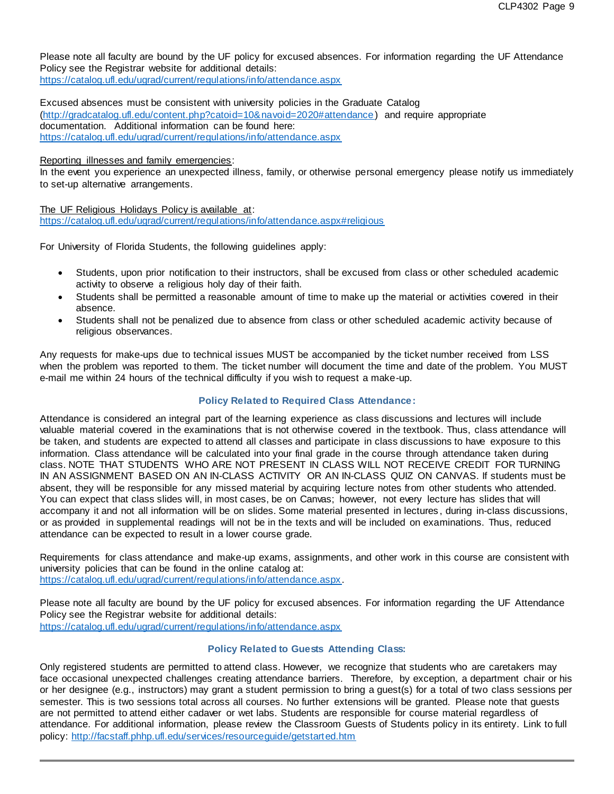Please note all faculty are bound by the UF policy for excused absences. For information regarding the UF Attendance Policy see the Registrar website for additional details:

<https://catalog.ufl.edu/ugrad/current/regulations/info/attendance.aspx>

Excused absences must be consistent with university policies in the Graduate Catalog [\(http://gradcatalog.ufl.edu/content.php?catoid=10&navoid=2020#attendance](http://gradcatalog.ufl.edu/content.php?catoid=10&navoid=2020#attendance) ) and require appropriate documentation. Additional information can be found here: <https://catalog.ufl.edu/ugrad/current/regulations/info/attendance.aspx>

Reporting illnesses and family emergencies:

In the event you experience an unexpected illness, family, or otherwise personal emergency please notify us immediately to set-up alternative arrangements.

The UF Religious Holidays Policy is available at: <https://catalog.ufl.edu/ugrad/current/regulations/info/attendance.aspx#religious>

For University of Florida Students, the following guidelines apply:

- Students, upon prior notification to their instructors, shall be excused from class or other scheduled academic activity to observe a religious holy day of their faith.
- Students shall be permitted a reasonable amount of time to make up the material or activities covered in their absence.
- Students shall not be penalized due to absence from class or other scheduled academic activity because of religious observances.

Any requests for make-ups due to technical issues MUST be accompanied by the ticket number received from LSS when the problem was reported to them. The ticket number will document the time and date of the problem. You MUST e-mail me within 24 hours of the technical difficulty if you wish to request a make-up.

### **Policy Related to Required Class Attendance:**

Attendance is considered an integral part of the learning experience as class discussions and lectures will include valuable material covered in the examinations that is not otherwise covered in the textbook. Thus, class attendance will be taken, and students are expected to attend all classes and participate in class discussions to have exposure to this information. Class attendance will be calculated into your final grade in the course through attendance taken during class. NOTE THAT STUDENTS WHO ARE NOT PRESENT IN CLASS WILL NOT RECEIVE CREDIT FOR TURNING IN AN ASSIGNMENT BASED ON AN IN-CLASS ACTIVITY OR AN IN-CLASS QUIZ ON CANVAS. If students must be absent, they will be responsible for any missed material by acquiring lecture notes from other students who attended. You can expect that class slides will, in most cases, be on Canvas; however, not every lecture has slides that will accompany it and not all information will be on slides. Some material presented in lectures , during in-class discussions, or as provided in supplemental readings will not be in the texts and will be included on examinations. Thus, reduced attendance can be expected to result in a lower course grade.

Requirements for class attendance and make-up exams, assignments, and other work in this course are consistent with university policies that can be found in the online catalog at: [https://catalog.ufl.edu/ugrad/current/regulations/info/attendance.aspx.](https://catalog.ufl.edu/ugrad/current/regulations/info/attendance.aspx)

Please note all faculty are bound by the UF policy for excused absences. For information regarding the UF Attendance Policy see the Registrar website for additional details: <https://catalog.ufl.edu/ugrad/current/regulations/info/attendance.aspx>

### **Policy Related to Guests Attending Class:**

Only registered students are permitted to attend class. However, we recognize that students who are caretakers may face occasional unexpected challenges creating attendance barriers. Therefore, by exception, a department chair or his or her designee (e.g., instructors) may grant a student permission to bring a guest(s) for a total of two class sessions per semester. This is two sessions total across all courses. No further extensions will be granted. Please note that guests are not permitted to attend either cadaver or wet labs. Students are responsible for course material regardless of attendance. For additional information, please review the Classroom Guests of Students policy in its entirety. Link to full policy:<http://facstaff.phhp.ufl.edu/services/resourceguide/getstarted.htm>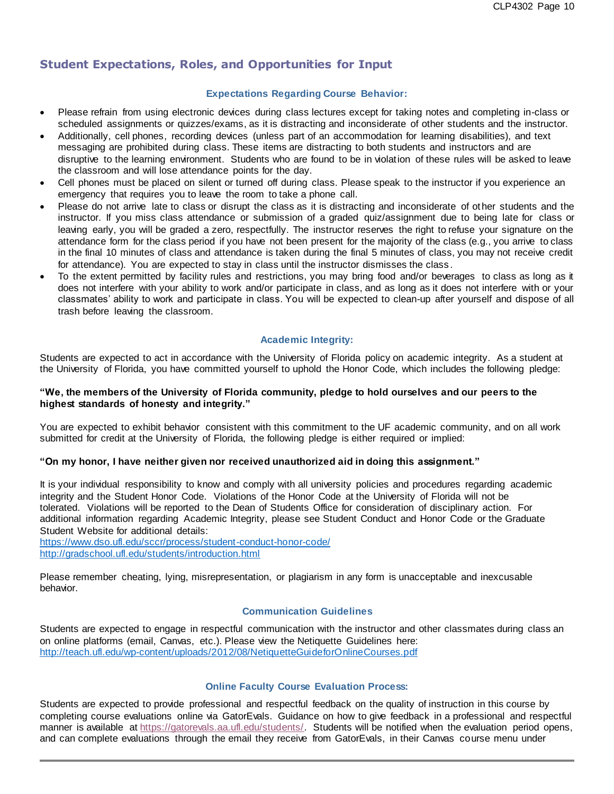# **Student Expectations, Roles, and Opportunities for Input**

### **Expectations Regarding Course Behavior:**

- Please refrain from using electronic devices during class lectures except for taking notes and completing in-class or scheduled assignments or quizzes/exams, as it is distracting and inconsiderate of other students and the instructor.
- Additionally, cell phones, recording devices (unless part of an accommodation for learning disabilities), and text messaging are prohibited during class. These items are distracting to both students and instructors and are disruptive to the learning environment. Students who are found to be in violation of these rules will be asked to leave the classroom and will lose attendance points for the day.
- Cell phones must be placed on silent or turned off during class. Please speak to the instructor if you experience an emergency that requires you to leave the room to take a phone call.
- Please do not arrive late to class or disrupt the class as it is distracting and inconsiderate of ot her students and the instructor. If you miss class attendance or submission of a graded quiz/assignment due to being late for class or leaving early, you will be graded a zero, respectfully. The instructor reserves the right to refuse your signature on the attendance form for the class period if you have not been present for the majority of the class (e.g., you arrive to class in the final 10 minutes of class and attendance is taken during the final 5 minutes of class, you may not receive credit for attendance). You are expected to stay in class until the instructor dismisses the class .
- To the extent permitted by facility rules and restrictions, you may bring food and/or beverages to class as long as it does not interfere with your ability to work and/or participate in class, and as long as it does not interfere with or your classmates' ability to work and participate in class. You will be expected to clean-up after yourself and dispose of all trash before leaving the classroom.

### **Academic Integrity:**

Students are expected to act in accordance with the University of Florida policy on academic integrity. As a student at the University of Florida, you have committed yourself to uphold the Honor Code, which includes the following pledge:

### "We, the members of the University of Florida community, pledge to hold ourselves and our peers to the **highest standards of honesty and integrity."**

You are expected to exhibit behavior consistent with this commitment to the UF academic community, and on all work submitted for credit at the University of Florida, the following pledge is either required or implied:

#### **"On my honor, I have neither given nor received unauthorized aid in doing this assignment."**

It is your individual responsibility to know and comply with all university policies and procedures regarding academic integrity and the Student Honor Code. Violations of the Honor Code at the University of Florida will not be tolerated. Violations will be reported to the Dean of Students Office for consideration of disciplinary action. For additional information regarding Academic Integrity, please see Student Conduct and Honor Code or the Graduate Student Website for additional details:

<https://www.dso.ufl.edu/sccr/process/student-conduct-honor-code/> <http://gradschool.ufl.edu/students/introduction.html>

Please remember cheating, lying, misrepresentation, or plagiarism in any form is unacceptable and inexcusable behavior.

### **Communication Guidelines**

Students are expected to engage in respectful communication with the instructor and other classmates during class an on online platforms (email, Canvas, etc.). Please view the Netiquette Guidelines here: <http://teach.ufl.edu/wp-content/uploads/2012/08/NetiquetteGuideforOnlineCourses.pdf>

### **Online Faculty Course Evaluation Process:**

Students are expected to provide professional and respectful feedback on the quality of instruction in this course by completing course evaluations online via GatorEvals. Guidance on how to give feedback in a professional and respectful manner is available at [https://gatorevals.aa.ufl.edu/students/.](https://gatorevals.aa.ufl.edu/students/) Students will be notified when the evaluation period opens, and can complete evaluations through the email they receive from GatorEvals, in their Canvas course menu under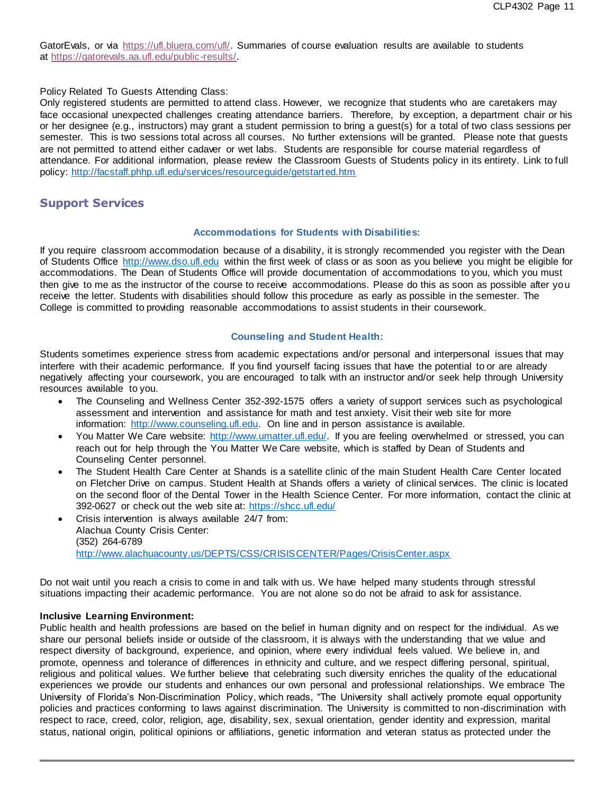GatorEvals, or via [https://ufl.bluera.com/ufl/.](https://urldefense.proofpoint.com/v2/url?u=https-3A__ufl.bluera.com_ufl_&d=DwMFAg&c=sJ6xIWYx-zLMB3EPkvcnVg&r=y2HjEMjRMHJhfdvLrqJZlYczRsfp5e4TfQjHuc5rVHg&m=WXko6OK_Ha6T00ZVAsEaSh99qRXHOgMNFRywCoehRho&s=itVU46DDJjnIg4CW6efJOOLgPjdzsPvCghyfzJoFONs&e=) Summaries of course evaluation results are available to students at [https://gatorevals.aa.ufl.edu/public-results/.](https://gatorevals.aa.ufl.edu/public-results/)

#### Policy Related To Guests Attending Class:

Only registered students are permitted to attend class. However, we recognize that students who are caretakers may face occasional unexpected challenges creating attendance barriers. Therefore, by exception, a department chair or his or her designee (e.g., instructors) may grant a student permission to bring a guest(s) for a total of two class sessions per semester. This is two sessions total across all courses. No further extensions will be granted. Please note that guests are not permitted to attend either cadaver or wet labs. Students are responsible for course material regardless of attendance. For additional information, please review the Classroom Guests of Students policy in its entirety. Link to full policy:<http://facstaff.phhp.ufl.edu/services/resourceguide/getstarted.htm>

### **Support Services**

#### **Accommodations for Students with Disabilities:**

If you require classroom accommodation because of a disability, it is strongly recommended you register with the Dean of Students Office [http://www.dso.ufl.edu](http://www.dso.ufl.edu/) within the first week of class or as soon as you believe you might be eligible for accommodations. The Dean of Students Office will provide documentation of accommodations to you, which you must then give to me as the instructor of the course to receive accommodations. Please do this as soon as possible after you receive the letter. Students with disabilities should follow this procedure as early as possible in the semester. The College is committed to providing reasonable accommodations to assist students in their coursework.

### **Counseling and Student Health:**

Students sometimes experience stress from academic expectations and/or personal and interpersonal issues that may interfere with their academic performance. If you find yourself facing issues that have the potential to or are already negatively affecting your coursework, you are encouraged to talk with an instructor and/or seek help through University resources available to you.

- The Counseling and Wellness Center 352-392-1575 offers a variety of support services such as psychological assessment and intervention and assistance for math and test anxiety. Visit their web site for more information: [http://www.counseling.ufl.edu.](http://www.counseling.ufl.edu/) On line and in person assistance is available.
- You Matter We Care website: [http://www.umatter.ufl.edu/.](http://www.umatter.ufl.edu/) If you are feeling overwhelmed or stressed, you can reach out for help through the You Matter We Care website, which is staffed by Dean of Students and Counseling Center personnel.
- The Student Health Care Center at Shands is a satellite clinic of the main Student Health Care Center located on Fletcher Drive on campus. Student Health at Shands offers a variety of clinical services. The clinic is located on the second floor of the Dental Tower in the Health Science Center. For more information, contact the clinic at 392-0627 or check out the web site at: <https://shcc.ufl.edu/>
- Crisis intervention is always available 24/7 from: Alachua County Crisis Center: (352) 264-6789 <http://www.alachuacounty.us/DEPTS/CSS/CRISISCENTER/Pages/CrisisCenter.aspx>

Do not wait until you reach a crisis to come in and talk with us. We have helped many students through stressful situations impacting their academic performance. You are not alone so do not be afraid to ask for assistance.

#### **Inclusive Learning Environment:**

Public health and health professions are based on the belief in human dignity and on respect for the individual. As we share our personal beliefs inside or outside of the classroom, it is always with the understanding that we value and respect diversity of background, experience, and opinion, where every individual feels valued. We believe in, and promote, openness and tolerance of differences in ethnicity and culture, and we respect differing personal, spiritual, religious and political values. We further believe that celebrating such diversity enriches the quality of the educational experiences we provide our students and enhances our own personal and professional relationships. We embrace The University of Florida's Non-Discrimination Policy, which reads, "The University shall actively promote equal opportunity policies and practices conforming to laws against discrimination. The University is committed to non-discrimination with respect to race, creed, color, religion, age, disability, sex, sexual orientation, gender identity and expression, marital status, national origin, political opinions or affiliations, genetic information and veteran status as protected under the